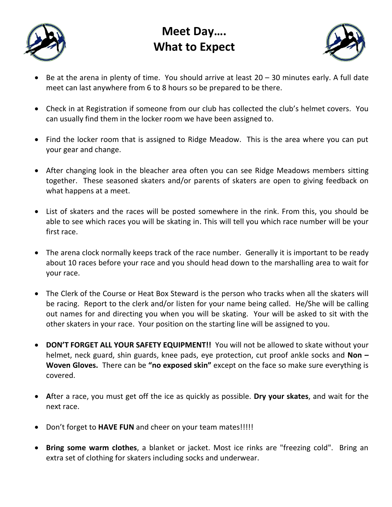

# **Meet Day…. What to Expect**



- Be at the arena in plenty of time. You should arrive at least  $20 30$  minutes early. A full date meet can last anywhere from 6 to 8 hours so be prepared to be there.
- Check in at Registration if someone from our club has collected the club's helmet covers. You can usually find them in the locker room we have been assigned to.
- Find the locker room that is assigned to Ridge Meadow. This is the area where you can put your gear and change.
- After changing look in the bleacher area often you can see Ridge Meadows members sitting together. These seasoned skaters and/or parents of skaters are open to giving feedback on what happens at a meet.
- List of skaters and the races will be posted somewhere in the rink. From this, you should be able to see which races you will be skating in. This will tell you which race number will be your first race.
- The arena clock normally keeps track of the race number. Generally it is important to be ready about 10 races before your race and you should head down to the marshalling area to wait for your race.
- The Clerk of the Course or Heat Box Steward is the person who tracks when all the skaters will be racing. Report to the clerk and/or listen for your name being called. He/She will be calling out names for and directing you when you will be skating. Your will be asked to sit with the other skaters in your race. Your position on the starting line will be assigned to you.
- **DON'T FORGET ALL YOUR SAFETY EQUIPMENT!!** You will not be allowed to skate without your helmet, neck guard, shin guards, knee pads, eye protection, cut proof ankle socks and **Non – Woven Gloves.** There can be **"no exposed skin"** except on the face so make sure everything is covered.
- **A**fter a race, you must get off the ice as quickly as possible. **Dry your skates**, and wait for the next race.
- Don't forget to **HAVE FUN** and cheer on your team mates!!!!!
- **Bring some warm clothes**, a blanket or jacket. Most ice rinks are "freezing cold". Bring an extra set of clothing for skaters including socks and underwear.